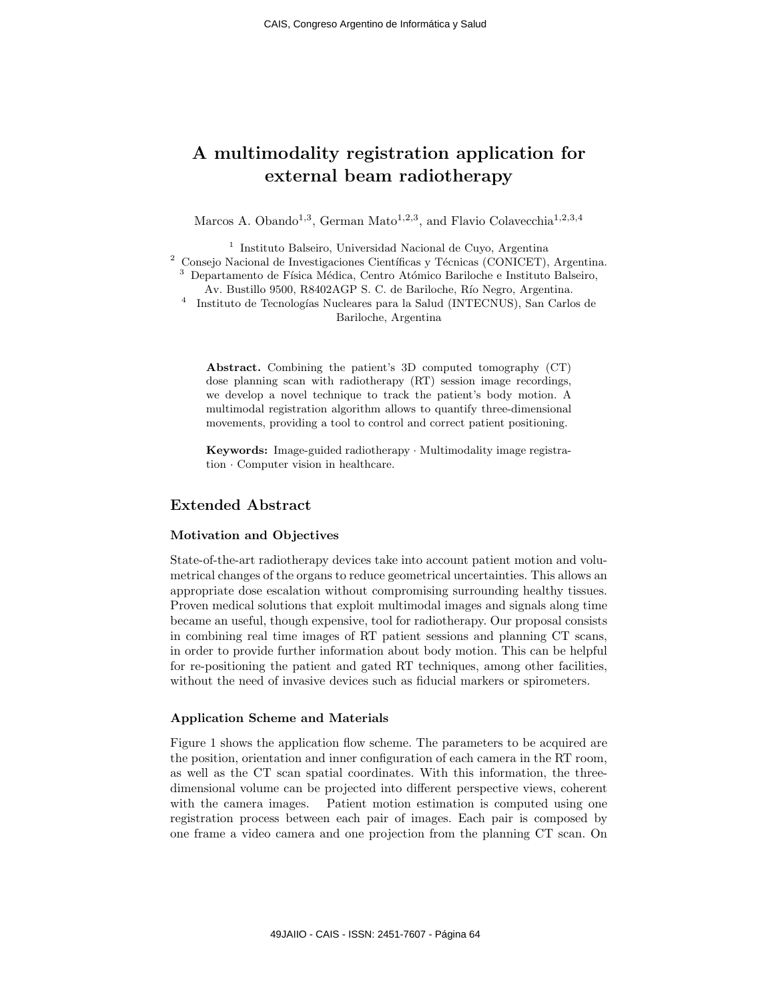# A multimodality registration application for external beam radiotherapy

Marcos A. Obando<sup>1,3</sup>, German Mato<sup>1,2,3</sup>, and Flavio Colavecchia<sup>1,2,3,4</sup>

1 Instituto Balseiro, Universidad Nacional de Cuyo, Argentina  $2$  Consejo Nacional de Investigaciones Científicas y Técnicas (CONICET), Argentina. <sup>3</sup> Departamento de Física Médica, Centro Atómico Bariloche e Instituto Balseiro, Av. Bustillo 9500, R8402AGP S. C. de Bariloche, Río Negro, Argentina. 4 Instituto de Tecnologías Nucleares para la Salud (INTECNUS), San Carlos de

Bariloche, Argentina

Abstract. Combining the patient's 3D computed tomography (CT) dose planning scan with radiotherapy (RT) session image recordings, we develop a novel technique to track the patient's body motion. A multimodal registration algorithm allows to quantify three-dimensional movements, providing a tool to control and correct patient positioning.

Keywords: Image-guided radiotherapy · Multimodality image registration · Computer vision in healthcare.

## Extended Abstract

## Motivation and Objectives

State-of-the-art radiotherapy devices take into account patient motion and volumetrical changes of the organs to reduce geometrical uncertainties. This allows an appropriate dose escalation without compromising surrounding healthy tissues. Proven medical solutions that exploit multimodal images and signals along time became an useful, though expensive, tool for radiotherapy. Our proposal consists in combining real time images of RT patient sessions and planning CT scans, in order to provide further information about body motion. This can be helpful for re-positioning the patient and gated RT techniques, among other facilities, without the need of invasive devices such as fiducial markers or spirometers.

### Application Scheme and Materials

Figure 1 shows the application flow scheme. The parameters to be acquired are the position, orientation and inner configuration of each camera in the RT room, as well as the CT scan spatial coordinates. With this information, the threedimensional volume can be projected into different perspective views, coherent with the camera images. Patient motion estimation is computed using one registration process between each pair of images. Each pair is composed by one frame a video camera and one projection from the planning CT scan. On